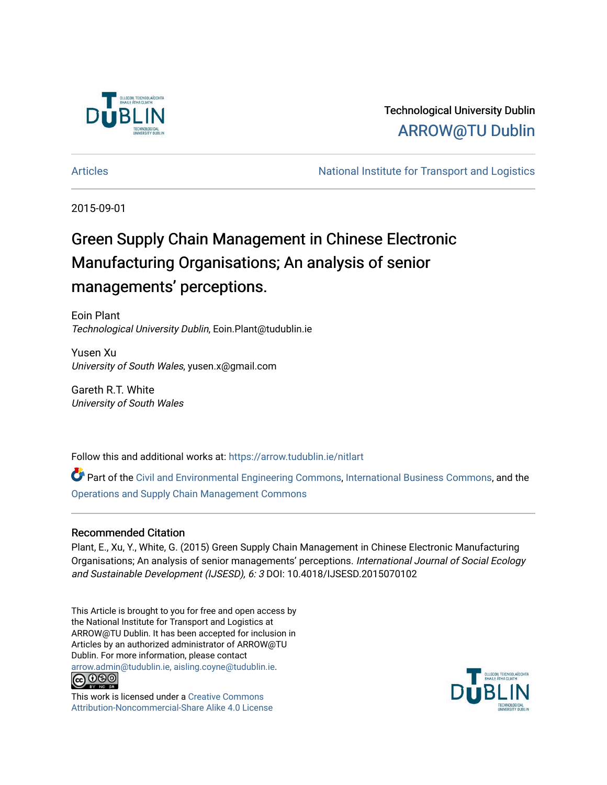

### Technological University Dublin [ARROW@TU Dublin](https://arrow.tudublin.ie/)

[Articles](https://arrow.tudublin.ie/nitlart) **National Institute for Transport and Logistics** Articles

2015-09-01

## Green Supply Chain Management in Chinese Electronic Manufacturing Organisations; An analysis of senior managements' perceptions.

Eoin Plant Technological University Dublin, Eoin.Plant@tudublin.ie

Yusen Xu University of South Wales, yusen.x@gmail.com

Gareth R.T. White University of South Wales

Follow this and additional works at: [https://arrow.tudublin.ie/nitlart](https://arrow.tudublin.ie/nitlart?utm_source=arrow.tudublin.ie%2Fnitlart%2F39&utm_medium=PDF&utm_campaign=PDFCoverPages) 

Part of the [Civil and Environmental Engineering Commons](http://network.bepress.com/hgg/discipline/251?utm_source=arrow.tudublin.ie%2Fnitlart%2F39&utm_medium=PDF&utm_campaign=PDFCoverPages), [International Business Commons](http://network.bepress.com/hgg/discipline/634?utm_source=arrow.tudublin.ie%2Fnitlart%2F39&utm_medium=PDF&utm_campaign=PDFCoverPages), and the [Operations and Supply Chain Management Commons](http://network.bepress.com/hgg/discipline/1229?utm_source=arrow.tudublin.ie%2Fnitlart%2F39&utm_medium=PDF&utm_campaign=PDFCoverPages) 

#### Recommended Citation

Plant, E., Xu, Y., White, G. (2015) Green Supply Chain Management in Chinese Electronic Manufacturing Organisations; An analysis of senior managements' perceptions. International Journal of Social Ecology and Sustainable Development (IJSESD), 6: 3 DOI: 10.4018/IJSESD.2015070102

This Article is brought to you for free and open access by the National Institute for Transport and Logistics at ARROW@TU Dublin. It has been accepted for inclusion in Articles by an authorized administrator of ARROW@TU Dublin. For more information, please contact [arrow.admin@tudublin.ie, aisling.coyne@tudublin.ie](mailto:arrow.admin@tudublin.ie,%20aisling.coyne@tudublin.ie).<br>(co 060



This work is licensed under a [Creative Commons](http://creativecommons.org/licenses/by-nc-sa/4.0/) [Attribution-Noncommercial-Share Alike 4.0 License](http://creativecommons.org/licenses/by-nc-sa/4.0/)

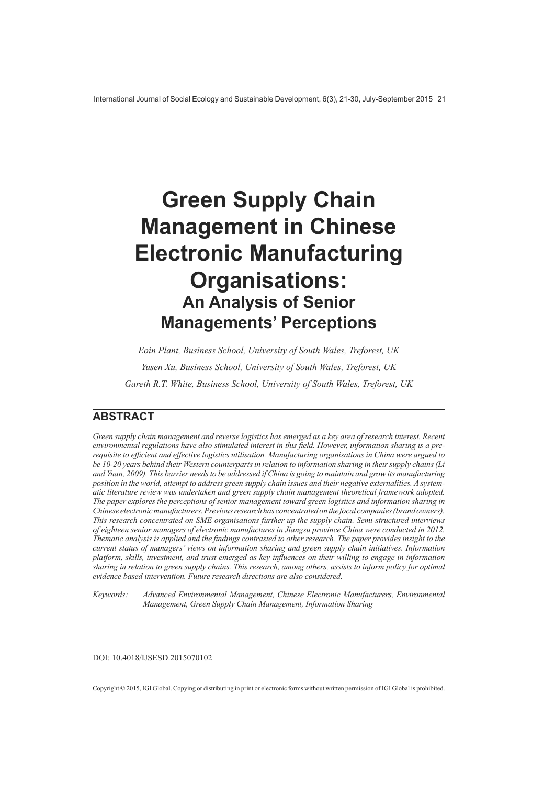# **Green Supply Chain Management in Chinese Electronic Manufacturing Organisations: An Analysis of Senior Managements' Perceptions**

Eoin Plant, Business School, University of South Wales, Treforest, UK Yusen Xu, Business School, University of South Wales, Treforest, UK Gareth R.T. White, Business School, University of South Wales, Treforest, UK

### **ARSTRACT**

Green supply chain management and reverse logistics has emerged as a key area of research interest. Recent environmental regulations have also stimulated interest in this field. However, information sharing is a prerequisite to efficient and effective logistics utilisation. Manufacturing organisations in China were argued to be 10-20 years behind their Western counterparts in relation to information sharing in their supply chains (Li and Yuan, 2009). This barrier needs to be addressed if China is going to maintain and grow its manufacturing position in the world, attempt to address green supply chain issues and their negative externalities. A systematic literature review was undertaken and green supply chain management theoretical framework adopted. The paper explores the perceptions of senior management toward green logistics and information sharing in Chinese electronic manufacturers. Previous research has concentrated on the focal companies (brand owners). This research concentrated on SME organisations further up the supply chain. Semi-structured interviews of eighteen senior managers of electronic manufactures in Jiangsu province China were conducted in 2012. Thematic analysis is applied and the findings contrasted to other research. The paper provides insight to the current status of managers' views on information sharing and green supply chain initiatives. Information platform, skills, investment, and trust emerged as key influences on their willing to engage in information sharing in relation to green supply chains. This research, among others, assists to inform policy for optimal evidence based intervention. Future research directions are also considered.

Advanced Environmental Management, Chinese Electronic Manufacturers, Environmental Keywords: Management, Green Supply Chain Management, Information Sharing

DOI: 10.4018/IJSESD.2015070102

Copyright © 2015, IGI Global. Copying or distributing in print or electronic forms without written permission of IGI Global is prohibited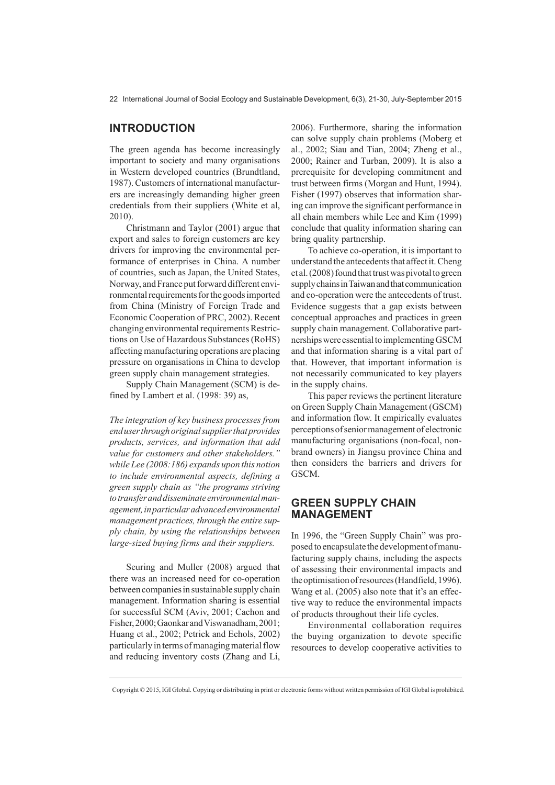#### **INTRODUCTION**

The green agenda has become increasingly important to society and many organisations in Western developed countries (Brundtland, 1987). Customers of international manufacturers are increasingly demanding higher green credentials from their suppliers (White et al,  $2010$ ).

Christmann and Taylor (2001) argue that export and sales to foreign customers are key drivers for improving the environmental performance of enterprises in China. A number of countries, such as Japan, the United States. Norway, and France put forward different environmental requirements for the goods imported from China (Ministry of Foreign Trade and Economic Cooperation of PRC, 2002). Recent changing environmental requirements Restrictions on Use of Hazardous Substances (RoHS) affecting manufacturing operations are placing pressure on organisations in China to develop green supply chain management strategies.

Supply Chain Management (SCM) is defined by Lambert et al. (1998: 39) as.

The integration of key business processes from end user through original supplier that provides products, services, and information that add value for customers and other stakeholders." while Lee  $(2008:186)$  expands upon this notion to include environmental aspects, defining a green supply chain as "the programs striving to transfer and disseminate environmental management, in particular advanced environmental management practices, through the entire supply chain, by using the relationships between large-sized buying firms and their suppliers.

Seuring and Muller (2008) argued that there was an increased need for co-operation between companies in sustainable supply chain management. Information sharing is essential for successful SCM (Aviv, 2001; Cachon and Fisher, 2000; Gaonkar and Viswanadham, 2001; Huang et al., 2002; Petrick and Echols, 2002) particularly in terms of managing material flow and reducing inventory costs (Zhang and Li, 2006). Furthermore, sharing the information can solve supply chain problems (Moberg et al., 2002; Siau and Tian, 2004; Zheng et al., 2000; Rainer and Turban, 2009). It is also a prerequisite for developing commitment and trust between firms (Morgan and Hunt, 1994). Fisher (1997) observes that information sharing can improve the significant performance in all chain members while Lee and Kim (1999) conclude that quality information sharing can bring quality partnership.

To achieve co-operation, it is important to understand the antecedents that affect it. Cheng et al. (2008) found that trust was pivotal to green supply chains in Taiwan and that communication and co-operation were the antecedents of trust. Evidence suggests that a gap exists between conceptual approaches and practices in green supply chain management. Collaborative partnerships were essential to implementing GSCM and that information sharing is a vital part of that. However, that important information is not necessarily communicated to key players in the supply chains.

This paper reviews the pertinent literature on Green Supply Chain Management (GSCM) and information flow. It empirically evaluates perceptions of senior management of electronic manufacturing organisations (non-focal, nonbrand owners) in Jiangsu province China and then considers the barriers and drivers for GSCM.

#### **GREEN SUPPLY CHAIN MANAGEMENT**

In 1996, the "Green Supply Chain" was proposed to encapsulate the development of manufacturing supply chains, including the aspects of assessing their environmental impacts and the optimisation of resources (Handfield, 1996). Wang et al. (2005) also note that it's an effective way to reduce the environmental impacts of products throughout their life cycles.

Environmental collaboration requires the buying organization to devote specific resources to develop cooperative activities to

Copyright © 2015, IGI Global. Copying or distributing in print or electronic forms without written permission of IGI Global is prohibited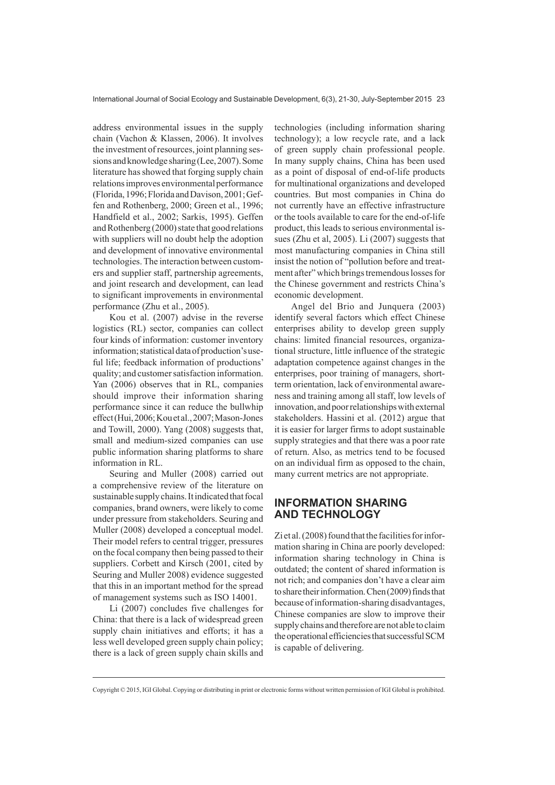address environmental issues in the supply chain (Vachon & Klassen, 2006). It involves the investment of resources, joint planning sessions and knowledge sharing (Lee, 2007). Some literature has showed that forging supply chain relations improves environmental performance (Florida, 1996; Florida and Davison, 2001; Geffen and Rothenberg, 2000; Green et al., 1996; Handfield et al., 2002; Sarkis, 1995). Geffen and Rothenberg (2000) state that good relations with suppliers will no doubt help the adoption and development of innovative environmental technologies. The interaction between customers and supplier staff, partnership agreements, and joint research and development, can lead to significant improvements in environmental performance (Zhu et al., 2005).

Kou et al. (2007) advise in the reverse logistics (RL) sector, companies can collect four kinds of information: customer inventory information; statistical data of production's useful life; feedback information of productions' quality; and customer satisfaction information. Yan (2006) observes that in RL, companies should improve their information sharing performance since it can reduce the bullwhip effect (Hui, 2006; Kou et al., 2007; Mason-Jones and Towill, 2000). Yang (2008) suggests that, small and medium-sized companies can use public information sharing platforms to share information in RL.

Seuring and Muller (2008) carried out a comprehensive review of the literature on sustainable supply chains. It indicated that focal companies, brand owners, were likely to come under pressure from stakeholders. Seuring and Muller (2008) developed a conceptual model. Their model refers to central trigger, pressures on the focal company then being passed to their suppliers. Corbett and Kirsch (2001, cited by Seuring and Muller 2008) evidence suggested that this in an important method for the spread of management systems such as ISO 14001.

Li  $(2007)$  concludes five challenges for China: that there is a lack of widespread green supply chain initiatives and efforts; it has a less well developed green supply chain policy; there is a lack of green supply chain skills and

technologies (including information sharing technology); a low recycle rate, and a lack of green supply chain professional people. In many supply chains, China has been used as a point of disposal of end-of-life products for multinational organizations and developed countries. But most companies in China do not currently have an effective infrastructure or the tools available to care for the end-of-life product, this leads to serious environmental issues (Zhu et al, 2005). Li (2007) suggests that most manufacturing companies in China still insist the notion of "pollution before and treatment after" which brings tremendous losses for the Chinese government and restricts China's economic development.

Angel del Brio and Junquera (2003) identify several factors which effect Chinese enterprises ability to develop green supply chains: limited financial resources, organizational structure, little influence of the strategic adaptation competence against changes in the enterprises, poor training of managers, shortterm orientation, lack of environmental awareness and training among all staff, low levels of innovation, and poor relationships with external stakeholders. Hassini et al. (2012) argue that it is easier for larger firms to adopt sustainable supply strategies and that there was a poor rate of return. Also, as metrics tend to be focused on an individual firm as opposed to the chain, many current metrics are not appropriate.

#### **INFORMATION SHARING AND TECHNOLOGY**

Zi et al. (2008) found that the facilities for information sharing in China are poorly developed: information sharing technology in China is outdated; the content of shared information is not rich; and companies don't have a clear aim to share their information. Chen (2009) finds that because of information-sharing disadvantages, Chinese companies are slow to improve their supply chains and therefore are not able to claim the operational efficiencies that successful SCM is capable of delivering.

Copyright © 2015, IGI Global. Copying or distributing in print or electronic forms without written permission of IGI Global is prohibited.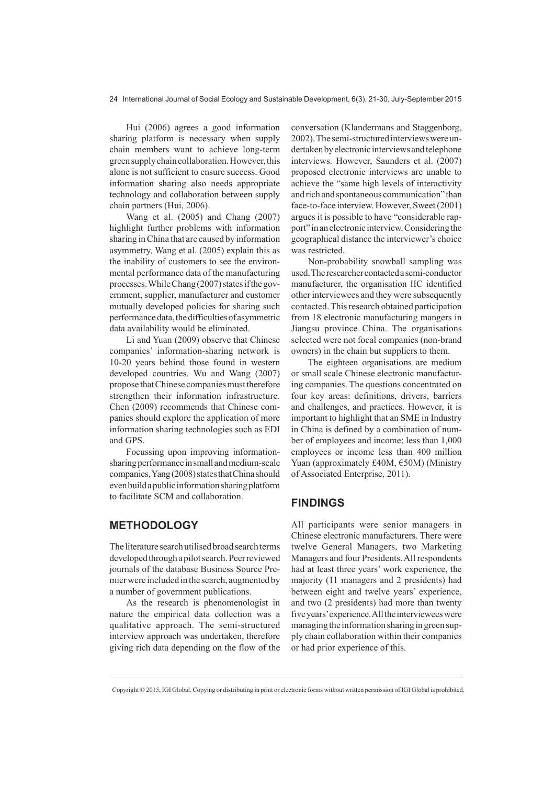Hui (2006) agrees a good information sharing platform is necessary when supply chain members want to achieve long-term green supply chain collaboration. However, this alone is not sufficient to ensure success. Good information sharing also needs appropriate technology and collaboration between supply chain partners (Hui, 2006).

Wang et al. (2005) and Chang (2007) highlight further problems with information sharing in China that are caused by information asymmetry. Wang et al. (2005) explain this as the inability of customers to see the environmental performance data of the manufacturing processes. While Chang (2007) states if the government, supplier, manufacturer and customer mutually developed policies for sharing such performance data, the difficulties of asymmetric data availability would be eliminated.

Li and Yuan (2009) observe that Chinese companies' information-sharing network is 10-20 years behind those found in western developed countries. Wu and Wang (2007) propose that Chinese companies must therefore strengthen their information infrastructure. Chen (2009) recommends that Chinese companies should explore the application of more information sharing technologies such as EDI and GPS.

Focussing upon improving informationsharing performance in small and medium-scale companies, Yang (2008) states that China should even build a public information sharing platform to facilitate SCM and collaboration.

#### **METHODOLOGY**

The literature search utilised broad search terms developed through a pilot search. Peer reviewed journals of the database Business Source Premier were included in the search, augmented by a number of government publications.

As the research is phenomenologist in nature the empirical data collection was a qualitative approach. The semi-structured interview approach was undertaken, therefore giving rich data depending on the flow of the conversation (Klandermans and Staggenborg, 2002). The semi-structured interviews were undertaken by electronic interviews and telephone interviews. However, Saunders et al. (2007) proposed electronic interviews are unable to achieve the "same high levels of interactivity and rich and spontaneous communication" than face-to-face interview. However, Sweet (2001) argues it is possible to have "considerable rapport" in an electronic interview. Considering the geographical distance the interviewer's choice was restricted.

Non-probability snowball sampling was used. The researcher contacted a semi-conductor manufacturer, the organisation IIC identified other interviewees and they were subsequently contacted. This research obtained participation from 18 electronic manufacturing mangers in Jiangsu province China. The organisations selected were not focal companies (non-brand owners) in the chain but suppliers to them.

The eighteen organisations are medium or small scale Chinese electronic manufacturing companies. The questions concentrated on four key areas: definitions, drivers, barriers and challenges, and practices. However, it is important to highlight that an SME in Industry in China is defined by a combination of number of employees and income; less than 1,000 employees or income less than 400 million Yuan (approximately £40M, €50M) (Ministry of Associated Enterprise, 2011).

#### **FINDINGS**

All participants were senior managers in Chinese electronic manufacturers. There were twelve General Managers, two Marketing Managers and four Presidents. All respondents had at least three years' work experience, the majority (11 managers and 2 presidents) had between eight and twelve years' experience, and two (2 presidents) had more than twenty five years' experience. All the interviewees were managing the information sharing in green supply chain collaboration within their companies or had prior experience of this.

Copyright © 2015, IGI Global. Copying or distributing in print or electronic forms without written permission of IGI Global is prohibited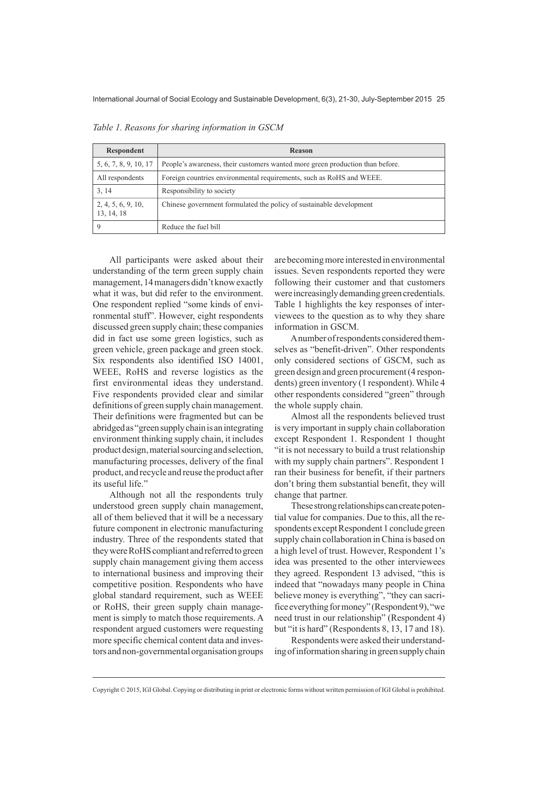| Respondent                       | Reason                                                                        |
|----------------------------------|-------------------------------------------------------------------------------|
| 5, 6, 7, 8, 9, 10, 17            | People's awareness, their customers wanted more green production than before. |
| All respondents                  | Foreign countries environmental requirements, such as RoHS and WEEE.          |
| 3, 14                            | Responsibility to society                                                     |
| 2, 4, 5, 6, 9, 10,<br>13, 14, 18 | Chinese government formulated the policy of sustainable development           |
| $\mathbf Q$                      | Reduce the fuel bill                                                          |

Table 1. Reasons for sharing information in GSCM

All participants were asked about their understanding of the term green supply chain management, 14 managers didn't know exactly what it was, but did refer to the environment. One respondent replied "some kinds of environmental stuff". However, eight respondents discussed green supply chain; these companies did in fact use some green logistics, such as green vehicle, green package and green stock. Six respondents also identified ISO 14001, WEEE, RoHS and reverse logistics as the first environmental ideas they understand. Five respondents provided clear and similar definitions of green supply chain management. Their definitions were fragmented but can be abridged as "green supply chain is an integrating environment thinking supply chain, it includes product design, material sourcing and selection, manufacturing processes, delivery of the final product, and recycle and reuse the product after its useful life."

Although not all the respondents truly understood green supply chain management, all of them believed that it will be a necessary future component in electronic manufacturing industry. Three of the respondents stated that they were RoHS compliant and referred to green supply chain management giving them access to international business and improving their competitive position. Respondents who have global standard requirement, such as WEEE or RoHS, their green supply chain management is simply to match those requirements. A respondent argued customers were requesting more specific chemical content data and investors and non-governmental organisation groups

are becoming more interested in environmental issues. Seven respondents reported they were following their customer and that customers were increasingly demanding green credentials. Table 1 highlights the key responses of interviewees to the question as to why they share information in GSCM.

Anumber of respondents considered themselves as "benefit-driven". Other respondents only considered sections of GSCM, such as green design and green procurement (4 respondents) green inventory (1 respondent). While 4 other respondents considered "green" through the whole supply chain.

Almost all the respondents believed trust is very important in supply chain collaboration except Respondent 1. Respondent 1 thought "it is not necessary to build a trust relationship" with my supply chain partners". Respondent 1 ran their business for benefit, if their partners don't bring them substantial benefit, they will change that partner.

These strong relationships can create potential value for companies. Due to this, all the respondents except Respondent 1 conclude green supply chain collaboration in China is based on a high level of trust. However, Respondent 1's idea was presented to the other interviewees they agreed. Respondent 13 advised. "this is indeed that "nowadays many people in China believe money is everything", "they can sacrifice everything for money" (Respondent 9), "we need trust in our relationship" (Respondent 4) but "it is hard" (Respondents 8, 13, 17 and 18).

Respondents were asked their understanding of information sharing in green supply chain

Copyright © 2015, IGI Global. Copying or distributing in print or electronic forms without written permission of IGI Global is prohibited.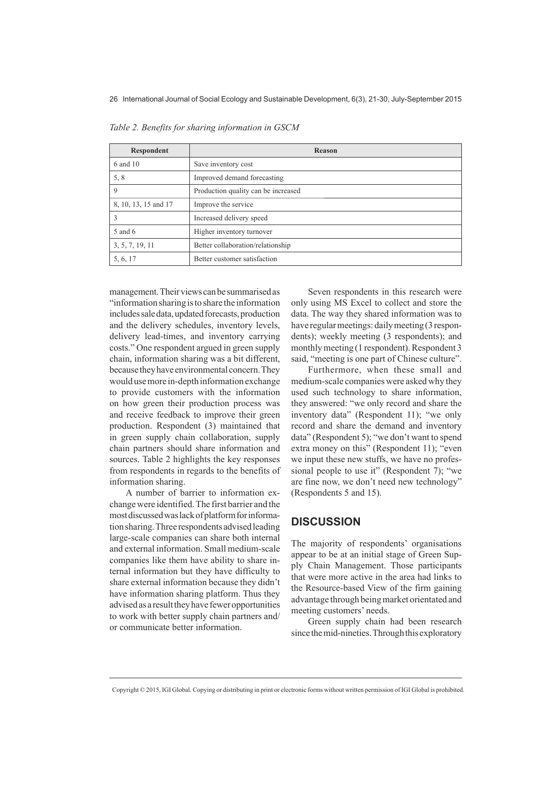| Respondent           | Reason                              |
|----------------------|-------------------------------------|
| 6 and 10             | Save inventory cost                 |
| 5, 8                 | Improved demand forecasting         |
| 9                    | Production quality can be increased |
| 8, 10, 13, 15 and 17 | Improve the service                 |
| 3                    | Increased delivery speed            |
| 5 and 6              | Higher inventory turnover           |
| 3, 5, 7, 19, 11      | Better collaboration/relationship   |
| 5, 6, 17             | Better customer satisfaction        |

Table 2. Benefits for sharing information in GSCM

management. Their views can be summarised as "information sharing is to share the information includes sale data, updated forecasts, production and the delivery schedules, inventory levels, delivery lead-times, and inventory carrying costs." One respondent argued in green supply chain, information sharing was a bit different, because they have environmental concern. They would use more in-depth information exchange to provide customers with the information on how green their production process was and receive feedback to improve their green production. Respondent (3) maintained that in green supply chain collaboration, supply chain partners should share information and sources. Table 2 highlights the key responses from respondents in regards to the benefits of information sharing.

A number of barrier to information exchange were identified. The first barrier and the most discussed was lack of platform for information sharing. Three respondents advised leading large-scale companies can share both internal and external information. Small medium-scale companies like them have ability to share internal information but they have difficulty to share external information because they didn't have information sharing platform. Thus they advised as a result they have fewer opportunities to work with better supply chain partners and/ or communicate better information.

Seven respondents in this research were only using MS Excel to collect and store the data. The way they shared information was to have regular meetings: daily meeting (3 respondents); weekly meeting (3 respondents); and monthly meeting (1 respondent). Respondent 3 said, "meeting is one part of Chinese culture".

Furthermore, when these small and medium-scale companies were asked why they used such technology to share information, they answered: "we only record and share the inventory data" (Respondent 11); "we only record and share the demand and inventory data" (Respondent 5); "we don't want to spend extra money on this" (Respondent 11); "even we input these new stuffs, we have no professional people to use it" (Respondent 7); "we are fine now, we don't need new technology" (Respondents 5 and 15).

#### **DISCUSSION**

The majority of respondents' organisations appear to be at an initial stage of Green Supply Chain Management. Those participants that were more active in the area had links to the Resource-based View of the firm gaining advantage through being market orientated and meeting customers' needs.

Green supply chain had been research since the mid-nineties. Through this exploratory

Copyright © 2015, IGI Global. Copying or distributing in print or electronic forms without written permission of IGI Global is prohibited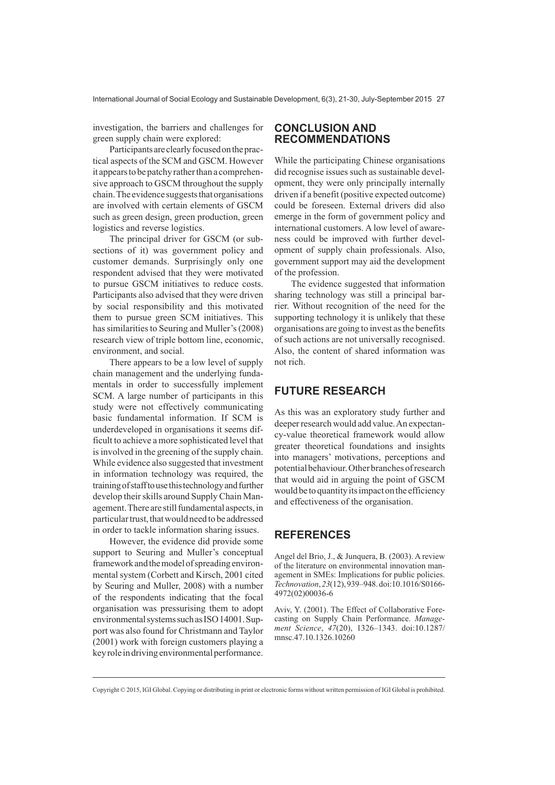investigation, the barriers and challenges for green supply chain were explored:

Participants are clearly focused on the practical aspects of the SCM and GSCM. However it appears to be patchy rather than a comprehensive approach to GSCM throughout the supply chain. The evidence suggests that organisations are involved with certain elements of GSCM such as green design, green production, green logistics and reverse logistics.

The principal driver for GSCM (or subsections of it) was government policy and customer demands. Surprisingly only one respondent advised that they were motivated to pursue GSCM initiatives to reduce costs. Participants also advised that they were driven by social responsibility and this motivated them to pursue green SCM initiatives. This has similarities to Seuring and Muller's (2008) research view of triple bottom line, economic, environment, and social.

There appears to be a low level of supply chain management and the underlying fundamentals in order to successfully implement SCM. A large number of participants in this study were not effectively communicating basic fundamental information. If SCM is underdeveloped in organisations it seems difficult to achieve a more sophisticated level that is involved in the greening of the supply chain. While evidence also suggested that investment in information technology was required, the training of staff to use this technology and further develop their skills around Supply Chain Management. There are still fundamental aspects, in particular trust, that would need to be addressed in order to tackle information sharing issues.

However, the evidence did provide some support to Seuring and Muller's conceptual framework and the model of spreading environmental system (Corbett and Kirsch, 2001 cited by Seuring and Muller, 2008) with a number of the respondents indicating that the focal organisation was pressurising them to adopt environmental systems such as ISO 14001. Support was also found for Christmann and Taylor (2001) work with foreign customers playing a key role in driving environmental performance.

#### **CONCLUSION AND RECOMMENDATIONS**

While the participating Chinese organisations did recognise issues such as sustainable development, they were only principally internally driven if a benefit (positive expected outcome) could be foreseen. External drivers did also emerge in the form of government policy and international customers. A low level of awareness could be improved with further development of supply chain professionals. Also, government support may aid the development of the profession.

The evidence suggested that information sharing technology was still a principal barrier. Without recognition of the need for the supporting technology it is unlikely that these organisations are going to invest as the benefits of such actions are not universally recognised. Also, the content of shared information was not rich.

#### **FUTURE RESEARCH**

As this was an exploratory study further and deeper research would add value. An expectancv-value theoretical framework would allow greater theoretical foundations and insights into managers' motivations, perceptions and potential behaviour. Other branches of research that would aid in arguing the point of GSCM would be to quantity its impact on the efficiency and effectiveness of the organisation.

#### **REFERENCES**

Angel del Brio, J., & Junquera, B. (2003). A review of the literature on environmental innovation management in SMEs: Implications for public policies. Technovation, 23(12), 939-948. doi:10.1016/S0166-4972(02)00036-6

Aviv, Y. (2001). The Effect of Collaborative Forecasting on Supply Chain Performance. Management Science, 47(20), 1326-1343. doi:10.1287/ mnsc.47.10.1326.10260

Copyright © 2015, IGI Global. Copying or distributing in print or electronic forms without written permission of IGI Global is prohibited.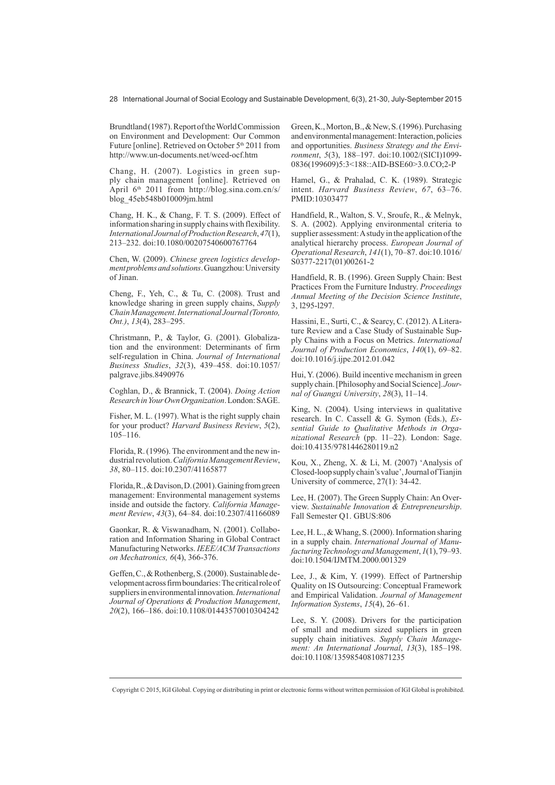28 International Journal of Social Ecology and Sustainable Development, 6(3), 21-30, July-September 2015

Brundtland (1987). Report of the World Commission on Environment and Development: Our Common Future [online]. Retrieved on October 5<sup>th</sup> 2011 from http://www.un-documents.net/wced-ocf.htm

Chang, H. (2007). Logistics in green supply chain management [online]. Retrieved on April 6<sup>th</sup> 2011 from http://blog.sina.com.cn/s/ blog 45eb548b010009jm.html

Chang, H. K., & Chang, F. T. S. (2009). Effect of information sharing in supply chains with flexibility. *International Journal of Production Research, 47(1),* 213-232. doi:10.1080/00207540600767764

Chen, W. (2009). Chinese green logistics develop*ment problems and solutions*. Guangzhou: University of Jinan.

Cheng, F., Yeh, C., & Tu, C.  $(2008)$ . Trust and knowledge sharing in green supply chains, Supply  $Chain Management. International Journal (To ronto,$ Ont.), 13(4), 283-295.

Christmann, P., & Taylor, G. (2001). Globalization and the environment: Determinants of firm self-regulation in China, *Journal of International Business Studies*, 32(3), 439-458. doi:10.1057/ palgrave.jibs.8490976

Coghlan, D., & Brannick, T. (2004). Doing Action  $Research$  in Your Own Organization. London: SAGE.

Fisher, M. L.  $(1997)$ . What is the right supply chain for your product? *Harvard Business Review*, 5(2),  $105 - 116.$ 

Florida, R. (1996). The environment and the new industrial revolution. California Management Review, 38, 80-115. doi:10.2307/41165877

Florida, R., & Davison, D.  $(2001)$ . Gaining from green management: Environmental management systems inside and outside the factory. California Management Review, 43(3), 64-84. doi:10.2307/41166089

Gaonkar, R. & Viswanadham, N. (2001). Collaboration and Information Sharing in Global Contract Manufacturing Networks. IEEE/ACM Transactions on Mechatronics, 6(4), 366-376.

Geffen, C., & Rothenberg, S. (2000). Sustainable development across firm boundaries: The critical role of suppliers in environmental innovation. *International* Journal of Operations & Production Management, 20(2), 166-186. doi:10.1108/01443570010304242

Green, K., Morton, B., & New, S. (1996). Purchasing and environmental management: Interaction, policies and opportunities. Business Strategy and the Envi*ronment*, 5(3), 188-197. doi:10.1002/(SICI)1099-0836(199609)5:3<188::AID-BSE60>3.0.CO;2-P

Hamel, G., & Prahalad, C. K. (1989). Strategic intent. *Harvard Business Review*, 67, 63-76. PMID:10303477

Handfield, R., Walton, S. V., Sroufe, R., & Melnyk, S. A. (2002). Applying environmental criteria to supplier assessment: A study in the application of the analytical hierarchy process. European Journal of Operational Research, 141(1), 70-87. doi:10.1016/ S0377-2217(01)00261-2

Handfield, R. B. (1996). Green Supply Chain: Best Practices From the Furniture Industry. Proceedings Annual Meeting of the Decision Science Institute, 3, 1295-1297.

Hassini, E., Surti, C., & Searcy, C. (2012). A Literature Review and a Case Study of Sustainable Supply Chains with a Focus on Metrics. International Journal of Production Economics, 140(1), 69-82. doi:10.1016/j.ijpe.2012.01.042

Hui. Y. (2006). Build incentive mechanism in green supply chain. [Philosophy and Social Science]. Journal of Guangxi University, 28(3), 11-14.

King, N. (2004). Using interviews in qualitative research. In C. Cassell & G. Symon  $(Fds)$ . *Es*sential Guide to Qualitative Methods in Organizational Research (pp. 11-22). London: Sage. doi:10.4135/9781446280119.n2

Kou, X., Zheng, X. & Li, M. (2007) 'Analysis of Closed-loop supply chain's value', Journal of Tianjin University of commerce,  $27(1)$ : 34-42.

Lee, H. (2007). The Green Supply Chain: An Overview. Sustainable Innovation & Entrepreneurship. Fall Semester O1, GBUS:806

Lee, H. L.,  $&$  Whang, S. (2000). Information sharing in a supply chain. *International Journal of Manufacturing Technology and Management, 1(1), 79–93.*  $d$ oi:10.1504/IJMTM.2000.001329

Lee, J., & Kim, Y. (1999). Effect of Partnership Quality on IS Outsourcing: Conceptual Framework and Empirical Validation. Journal of Management *Information Systems, 15(4), 26-61.* 

Lee, S. Y. (2008). Drivers for the participation of small and medium sized suppliers in green supply chain initiatives. Supply Chain Manage*ment: An International Journal, 13(3), 185-198.* doi:10.1108/13598540810871235

Copyright © 2015, IGI Global. Copying or distributing in print or electronic forms without written permission of IGI Global is prohibited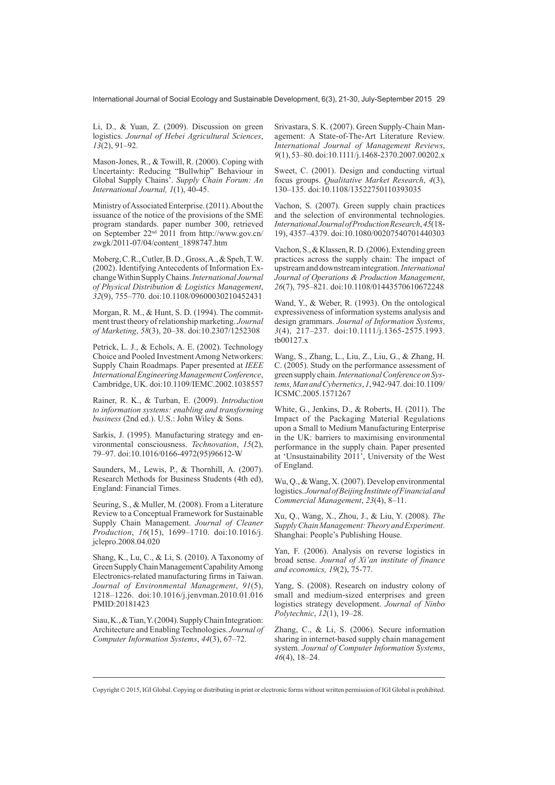International Journal of Social Ecology and Sustainable Development, 6(3), 21-30, July-September 2015 29

Li, D., & Yuan, Z. (2009). Discussion on green logistics. Journal of Hebei Agricultural Sciences,  $13(2)$ , 91-92.

Mason-Jones, R., & Towill, R. (2000). Coping with Uncertainty: Reducing "Bullwhip" Behaviour in<br>Global Supply Chains'. Supply Chain Forum: An International Journal, 1(1), 40-45.

Ministry of Associated Enterprise. (2011). About the issuance of the notice of the provisions of the SME program standards. paper number 300, retrieved<br>on September 22<sup>nd</sup> 2011 from http://www.gov.cn/ zwgk/2011-07/04/content 1898747.htm

Moberg, C.R., Cutler, B.D., Gross, A., & Speh, T.W. (2002). Identifying Antecedents of Information Exchange Within Supply Chains. International Journal of Physical Distribution & Logistics Management, 32(9), 755-770. doi:10.1108/09600030210452431

Morgan, R. M., & Hunt, S. D. (1994). The commitment trust theory of relationship marketing. Journal of Marketing, 58(3), 20-38. doi:10.2307/1252308

Petrick, L. J., & Echols, A. E. (2002). Technology Choice and Pooled Investment Among Networkers: Supply Chain Roadmaps. Paper presented at IEEE International Engineering Management Conference. Cambridge, UK. doi:10.1109/IEMC.2002.1038557

Rainer, R. K., & Turban, E. (2009). Introduction to information systems: enabling and transforming business (2nd ed.). U.S.: John Wiley & Sons.

Sarkis, J. (1995). Manufacturing strategy and environmental consciousness. Technovation, 15(2), 79-97. doi:10.1016/0166-4972(95)96612-W

Saunders, M., Lewis, P., & Thornhill, A. (2007). Research Methods for Business Students (4th ed), England: Financial Times.

Seuring, S., & Muller, M. (2008). From a Literature Review to a Conceptual Framework for Sustainable Supply Chain Management. Journal of Cleaner Production, 16(15), 1699-1710. doi:10.1016/j. jclepro.2008.04.020

Shang, K., Lu, C., & Li, S. (2010). A Taxonomy of Green Supply Chain Management Capability Among Electronics-related manufacturing firms in Taiwan. Journal of Environmental Management, 91(5), 1218-1226. doi:10.1016/j.jenvman.2010.01.016 PMID:20181423

Siau, K., & Tian, Y. (2004). Supply Chain Integration: Architecture and Enabling Technologies. Journal of Computer Information Systems, 44(3), 67-72.

Srivastara, S. K. (2007). Green Supply-Chain Management: A State-of-The-Art Literature Review. International Journal of Management Reviews, 9(1), 53-80. doi:10.1111/j.1468-2370.2007.00202.x

Sweet, C. (2001). Design and conducting virtual focus groups. *Qualitative Market Research*, 4(3), 130-135. doi:10.1108/13522750110393035

Vachon, S. (2007). Green supply chain practices and the selection of environmental technologies. International Journal of Production Research, 45(18-19), 4357-4379. doi:10.1080/00207540701440303

Vachon, S., & Klassen, R.D. (2006). Extending green practices across the supply chain: The impact of upstream and downstream integration. International Journal of Operations & Production Management, 26(7), 795-821. doi:10.1108/01443570610672248

Wand, Y., & Weber, R. (1993). On the ontological expressiveness of information systems analysis and design grammars. Journal of Information Systems,  $3(4)$ , 217-237. doi:10.1111/j.1365-2575.1993. tb00127.x

Wang, S., Zhang, L., Liu, Z., Liu, G., & Zhang, H. C. (2005). Study on the performance assessment of green supply chain. International Conference on Systems, Man and Cybernetics, 1, 942-947. doi:10.1109/ ICSMC.2005.1571267

White, G., Jenkins, D., & Roberts, H. (2011). The Impact of the Packaging Material Regulations upon a Small to Medium Manufacturing Enterprise in the UK: barriers to maximising environmental performance in the supply chain. Paper presented at 'Unsustainability 2011', University of the West of England.

Wu, O., & Wang, X. (2007). Develop environmental logistics. Journal of Beijing Institute of Financial and Commercial Management, 23(4), 8-11.

Xu, O., Wang, X., Zhou, J., & Liu, Y. (2008). The Supply Chain Management: Theory and Experiment. Shanghai: People's Publishing House.

Yan, F. (2006). Analysis on reverse logistics in broad sense. Journal of Xi'an institute of finance and economics, 19(2), 75-77.

Yang, S. (2008). Research on industry colony of small and medium-sized enterprises and green logistics strategy development. Journal of Ninbo Polytechnic, 12(1), 19–28.

Zhang, C., & Li, S. (2006). Secure information sharing in internet-based supply chain management system. Journal of Computer Information Systems,  $46(4)$ , 18-24.

Copyright © 2015, IGI Global. Copying or distributing in print or electronic forms without written permission of IGI Global is prohibited.